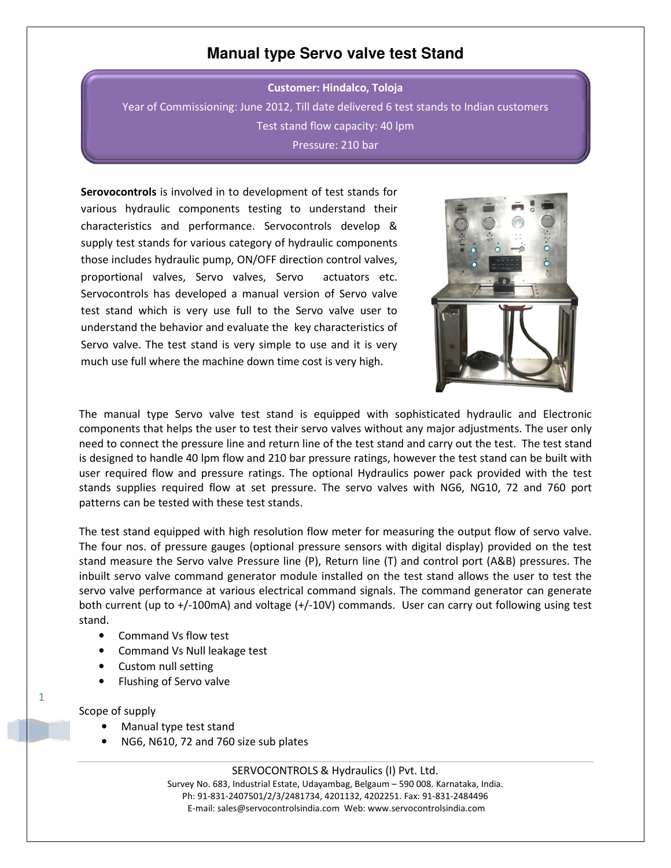## **Manual type Servo valve test Stand**

Customer: Hindalco, Toloja Year of Commissioning: June 2012, Till date delivered 6 test stands to Indian customers Test stand flow capacity: 40 lpm Pressure: 210 bar

Serovocontrols is involved in to development of test stands for various hydraulic components testing to understand their characteristics and performance. Servocontrols develop & supply test stands for various category of hydraulic components those includes hydraulic pump, ON/OFF direction control valves, proportional valves, Servo valves, Servo actuators etc. Servocontrols has developed a manual version of Servo valve test stand which is very use full to the Servo valve user to understand the behavior and evaluate the key characteristics of Servo valve. The test stand is very simple to use and it is very much use full where the machine down time cost is very high.



The manual type Servo valve test stand is equipped with sophisticated hydraulic and Electronic components that helps the user to test their servo valves without any major adjustments. The user only need to connect the pressure line and return line of the test stand and carry out the test. The test stand is designed to handle 40 lpm flow and 210 bar pressure ratings, however the test stand can be built with user required flow and pressure ratings. The optional Hydraulics power pack provided with the test stands supplies required flow at set pressure. The servo valves with NG6, NG10, 72 and 760 port patterns can be tested with these test stands.

The test stand equipped with high resolution flow meter for measuring the output flow of servo valve. The four nos. of pressure gauges (optional pressure sensors with digital display) provided on the test stand measure the Servo valve Pressure line (P), Return line (T) and control port (A&B) pressures. The inbuilt servo valve command generator module installed on the test stand allows the user to test the servo valve performance at various electrical command signals. The command generator can generate both current (up to +/-100mA) and voltage (+/-10V) commands. User can carry out following using test stand.

- Command Vs flow test
- Command Vs Null leakage test
- Custom null setting
- Flushing of Servo valve

Scope of supply

1

- Manual type test stand
- NG6, N610, 72 and 760 size sub plates

SERVOCONTROLS & Hydraulics (I) Pvt. Ltd. Survey No. 683, Industrial Estate, Udayambag, Belgaum – 590 008. Karnataka, India. Ph: 91-831-2407501/2/3/2481734, 4201132, 4202251. Fax: 91-831-2484496 E-mail: sales@servocontrolsindia.com Web: www.servocontrolsindia.com